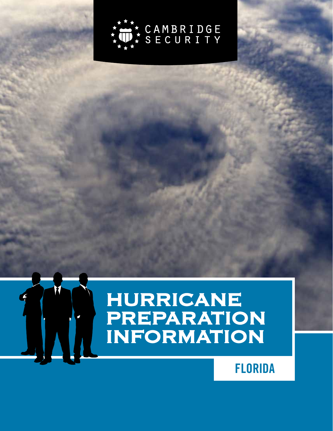

# HURRICANE PREPARATION INFORMATION

## **FLORIDA**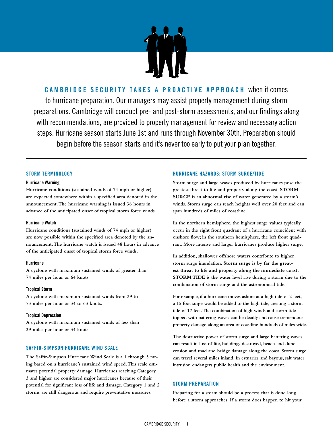

**CAMBRIDGE SECURITY TAKES A PROACTIVE APPROACH** when it comes to hurricane preparation. Our managers may assist property management during storm preparations. Cambridge will conduct pre- and post-storm assessments, and our findings along with recommendations, are provided to property management for review and necessary action steps. Hurricane season starts June 1st and runs through November 30th. Preparation should begin before the season starts and it's never too early to put your plan together.

#### **STORM TERMINOLOGY**

#### **Hurricane Warning**

**Hurricane conditions (sustained winds of 74 mph or higher) are expected somewhere within a specified area denoted in the announcement. The hurricane warning is issued 36 hours in advance of the anticipated onset of tropical storm force winds.**

#### **Hurricane Watch**

**Hurricane conditions (sustained winds of 74 mph or higher) are now possible within the specified area denoted by the announcement. The hurricane watch is issued 48 hours in advance of the anticipated onset of tropical storm force winds.**

#### **Hurricane**

**A cyclone with maximum sustained winds of greater than 74 miles per hour or 64 knots.**

#### **Tropical Storm**

**A cyclone with maximum sustained winds from 39 to 73 miles per hour or 34 to 63 knots.**

#### **Tropical Depression**

**A cyclone with maximum sustained winds of less than 39 miles per hour or 34 knots.**

#### **SAFFIR-SIMPSON HURRICANE WIND SCALE**

**The Saffir-Simpson Hurricane Wind Scale is a 1 through 5 rating based on a hurricane's sustained wind speed. This scale estimates potential property damage. Hurricanes reaching Category 3 and higher are considered major hurricanes because of their potential for significant loss of life and damage. Category 1 and 2 storms are still dangerous and require preventative measures.**

#### **HURRICANE HAZARDS: STORM SURGE/TIDE**

**Storm surge and large waves produced by hurricanes pose the greatest threat to life and property along the coast. STORM SURGE is an abnormal rise of water generated by a storm's winds. Storm surge can reach heights well over 20 feet and can span hundreds of miles of coastline.** 

**In the northern hemisphere, the highest surge values typically occur in the right front quadrant of a hurricane coincident with onshore flow; in the southern hemisphere, the left front quadrant. More intense and larger hurricanes produce higher surge.** 

**In addition, shallower offshore waters contribute to higher storm surge inundation. Storm surge is by far the greatest threat to life and property along the immediate coast. STORM TIDE is the water level rise during a storm due to the combination of storm surge and the astronomical tide.**

**For example, if a hurricane moves ashore at a high tide of 2 feet, a 15 foot surge would be added to the high tide, creating a storm tide of 17 feet. The combination of high winds and storm tide topped with battering waves can be deadly and cause tremendous property damage along an area of coastline hundreds of miles wide.** 

**The destructive power of storm surge and large battering waves can result in loss of life, buildings destroyed, beach and dune erosion and road and bridge damage along the coast. Storm surge can travel several miles inland. In estuaries and bayous, salt water intrusion endangers public health and the environment.**

#### **STORM PREPARATION**

**Preparing for a storm should be a process that is done long before a storm approaches. If a storm does happen to hit your**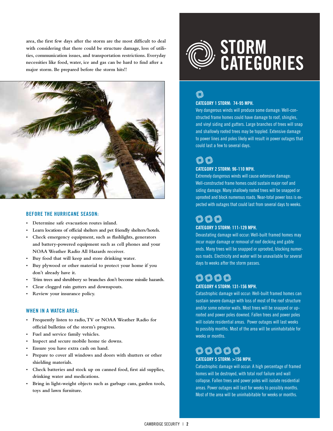**area, the first few days after the storm are the most difficult to deal with considering that there could be structure damage, loss of utilities, communication issues, and transportation restrictions. Everyday necessities like food, water, ice and gas can be hard to find after a major storm. Be prepared before the storm hits!!**



#### **BEFORE THE HURRICANE SEASON:**

- **• Determine safe evacuation routes inland.**
- **• Learn locations of official shelters and pet friendly shelters/hotels.**
- **• Check emergency equipment, such as flashlights, generators and battery-powered equipment such as cell phones and your NOAA Weather Radio All Hazards receiver.**
- **• Buy food that will keep and store drinking water.**
- **• Buy plywood or other material to protect your home if you don't already have it.**
- **• Trim trees and shrubbery so branches don't become missile hazards.**
- **• Clear clogged rain gutters and downspouts.**
- **• Review your insurance policy.**

#### **WHEN IN A WATCH AREA:**

- **• Frequently listen to radio, TV or NOAA Weather Radio for official bulletins of the storm's progress.**
- **• Fuel and service family vehicles.**
- **• Inspect and secure mobile home tie downs.**
- **• Ensure you have extra cash on hand.**
- **• Prepare to cover all windows and doors with shutters or other shielding materials.**
- **• Check batteries and stock up on canned food, first aid supplies, drinking water and medications.**
- **• Bring in light-weight objects such as garbage cans, garden tools, toys and lawn furniture.**

# **STORM CATEGORIES**

## (C),

#### **CATEGORY 1 STORM: 74-95 MPH.**

Very dangerous winds will produce some damage: Well-constructed frame homes could have damage to roof, shingles, and vinyl siding and gutters. Large branches of trees will snap and shallowly rooted trees may be toppled. Extensive damage to power lines and poles likely will result in power outages that could last a few to several days.

### O) (O) **CATEGORY 2 STORM: 96-110 MPH.**

Extremely dangerous winds will cause extensive damage: Well-constructed frame homes could sustain major roof and siding damage. Many shallowly rooted trees will be snapped or uprooted and block numerous roads. Near-total power loss is expected with outages that could last from several days to weeks.

### $\mathbb{O} \otimes \mathbb{O}$ **CATEGORY 3 STORM: 111-129 MPH.**

Devastating damage will occur: Well-built framed homes may incur major damage or removal of roof decking and gable ends. Many trees will be snapped or uprooted, blocking numerous roads. Electricity and water will be unavailable for several days to weeks after the storm passes.

# **CATEGORY 4 STORM: 131-156 MPH.**

Catastrophic damage will occur: Well-built framed homes can sustain severe damage with loss of most of the roof structure and/or some exterior walls. Most trees will be snapped or uprooted and power poles downed. Fallen trees and power poles will isolate residential areas. Power outages will last weeks to possibly months. Most of the area will be uninhabitable for weeks or months.

## $\circledcirc\circledcirc\circledcirc$

#### **CATEGORY 5 STORM: >156 MPH.**

Catastrophic damage will occur: A high percentage of framed homes will be destroyed, with total roof failure and wall collapse. Fallen trees and power poles will isolate residential areas. Power outages will last for weeks to possibly months. Most of the area will be uninhabitable for weeks or months.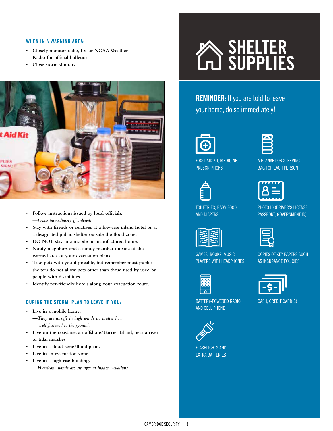#### **WHEN IN A WARNING AREA:**

- **• Closely monitor radio, TV or NOAA Weather Radio for official bulletins.**
- **• Close storm shutters.**



**• Follow instructions issued by local officials. —***Leave immediately if ordered!*

- **Stay with friends or relatives at a low-rise inland hotel or at a designated public shelter outside the flood zone.**
- **• DO NOT stay in a mobile or manufactured home.**
- **Notify neighbors and a family member outside of the warned area of your evacuation plans.**
- **Take pets with you if possible, but remember most public shelters do not allow pets other than those used by used by people with disabilities.**
- **• Identify pet-friendly hotels along your evacuation route.**

#### **DURING THE STORM, PLAN TO LEAVE IF YOU:**

- **• Live in a mobile home.** 
	- **—***They are unsafe in high winds no matter how well fastened to the ground.*
- **Live on the coastline, an offshore/Barrier Island, near a river or tidal marshes**
- **• Live in a flood zone/flood plain.**
- **• Live in an evacuation zone.**
- **• Live in a high rise building.** 
	- **—***Hurricane winds are stronger at higher elevations.*

# **SHELTER SUPPLIES**

**REMINDER:** If you are told to leave your home, do so immediately!





FIRST-AID KIT, MEDICINE, **PRESCRIPTIONS** 

TOILETRIES, BABY FOOD

GAMES, BOOKS, MUSIC PLAYERS WITH HEADPHONES



AND DIAPERS

A BLANKET OR SLEEPING BAG FOR EACH PERSON

| <del>,,,,,,,</del> |
|--------------------|
|                    |
|                    |
| .                  |

PHOTO ID (DRIVER'S LICENSE, PASSPORT, GOVERNMENT ID)



COPIES OF KEY PAPERS SUCH AS INSURANCE POLICIES

BATTERY-POWERED RADIO AND CELL PHONE



FLASHLIGHTS AND EXTRA BATTERIES CASH, CREDIT CARD(S)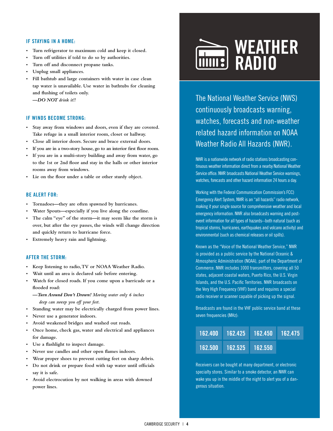#### **IF STAYING IN A HOME:**

- **• Turn refrigerator to maximum cold and keep it closed.**
- **• Turn off utilities if told to do so by authorities.**
- **• Turn off and disconnect propane tanks.**
- **• Unplug small appliances.**
- **Fill bathtub and large containers with water in case clean tap water is unavailable. Use water in bathtubs for cleaning and flushing of toilets only.**

**—***DO NOT drink it!!*

#### **IF WINDS BECOME STRONG:**

- **Stay away from windows and doors, even if they are covered. Take refuge in a small interior room, closet or hallway.**
- **• Close all interior doors. Secure and brace external doors.**
- **• If you are in a two-story house, go to an interior first floor room.**
- **If you are in a multi-story building and away from water, go to the 1st or 2nd floor and stay in the halls or other interior rooms away from windows.**
- **• Lie on the floor under a table or other sturdy object.**

#### **BE ALERT FOR:**

- **• Tornadoes—they are often spawned by hurricanes.**
- **• Water Spouts—especially if you live along the coastline.**
- **• The calm "eye" of the storm—it may seem like the storm is over, but after the eye passes, the winds will change direction and quickly return to hurricane force.**
- **• Extremely heavy rain and lightning.**

#### **AFTER THE STORM:**

- **• Keep listening to radio, TV or NOAA Weather Radio.**
- **• Wait until an area is declared safe before entering.**
- **• Watch for closed roads. If you come upon a barricade or a flooded road:**
	- **—***Turn Around Don't Drown! Moving water only 6 inches deep can sweep you off your feet.*
- **• Standing water may be electrically charged from power lines.**
- **• Never use a generator indoors.**
- **• Avoid weakened bridges and washed out roads.**
- **• Once home, check gas, water and electrical and appliances for damage.**
- **• Use a flashlight to inspect damage.**
- **• Never use candles and other open flames indoors.**
- **• Wear proper shoes to prevent cutting feet on sharp debris.**
- **• Do not drink or prepare food with tap water until officials say it is safe.**
- **Avoid electrocution by not walking in areas with downed power lines.**



The National Weather Service (NWS) continuously broadcasts warning, watches, forecasts and non-weather related hazard information on NOAA Weather Radio All Hazards (NWR).

NWR is a nationwide network of radio stations broadcasting continuous weather information direct from a nearby National Weather Service office. NWR broadcasts National Weather Service warnings, watches, forecasts and other hazard information 24 hours a day.

Working with the Federal Communication Commission's FCC) Emergency Alert System, NWR is an "all hazards" radio network, making it your single source for comprehensive weather and local emergency information. NWR also broadcasts warning and postevent information for all types of hazards--both natural (such as tropical storms, hurricanes, earthquakes and volcano activity) and environmental (such as chemical releases or oil spills).

Known as the "Voice of the National Weather Service," NWR is provided as a public service by the National Oceanic & Atmospheric Administration (NOAA), part of the Department of Commerce. NWR includes 1000 transmitters, covering all 50 states, adjacent coastal waters, Puerto Rico, the U.S. Virgin Islands, and the U.S. Pacific Territories. NWR broadcasts on the Very High Frequency (VHF) band and requires a special radio receiver or scanner capable of picking up the signal.

Broadcasts are found in the VHF public service band at these seven frequencies (MHz):

| 162.400  162.425  162.450  162.475 |  |
|------------------------------------|--|
| 162.500 162.525 162.550            |  |

Receivers can be bought at many department, or electronic specialty stores. Similar to a smoke detector, an NWR can wake you up in the middle of the night to alert you of a dangerous situation.